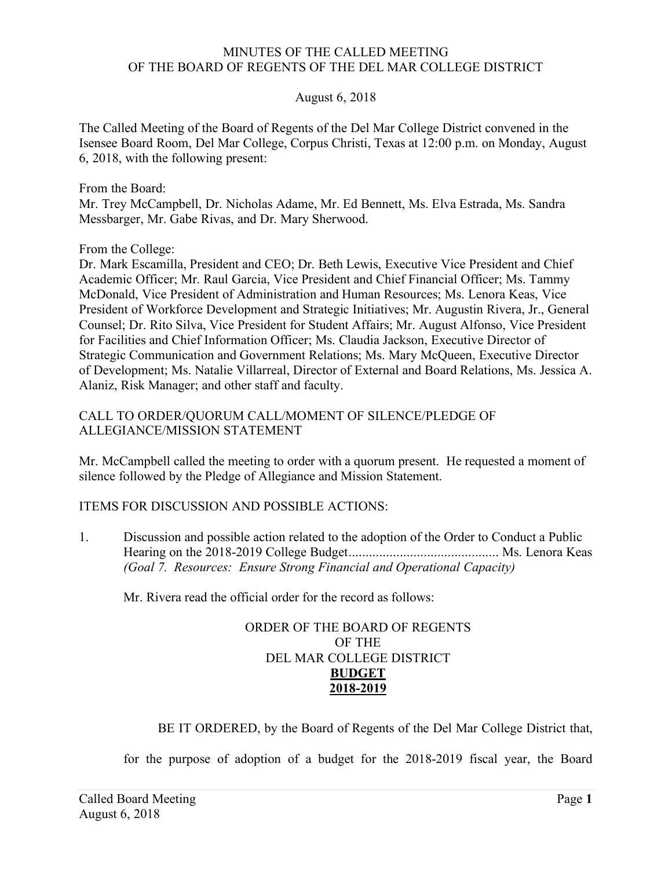#### MINUTES OF THE CALLED MEETING OF THE BOARD OF REGENTS OF THE DEL MAR COLLEGE DISTRICT

## August 6, 2018

 The Called Meeting of the Board of Regents of the Del Mar College District convened in the Isensee Board Room, Del Mar College, Corpus Christi, Texas at 12:00 p.m. on Monday, August 6, 2018, with the following present:

From the Board:

 Mr. Trey McCampbell, Dr. Nicholas Adame, Mr. Ed Bennett, Ms. Elva Estrada, Ms. Sandra Messbarger, Mr. Gabe Rivas, and Dr. Mary Sherwood.

From the College:

 Dr. Mark Escamilla, President and CEO; Dr. Beth Lewis, Executive Vice President and Chief Academic Officer; Mr. Raul Garcia, Vice President and Chief Financial Officer; Ms. Tammy McDonald, Vice President of Administration and Human Resources; Ms. Lenora Keas, Vice President of Workforce Development and Strategic Initiatives; Mr. Augustin Rivera, Jr., General Counsel; Dr. Rito Silva, Vice President for Student Affairs; Mr. August Alfonso, Vice President for Facilities and Chief Information Officer; Ms. Claudia Jackson, Executive Director of Strategic Communication and Government Relations; Ms. Mary McQueen, Executive Director of Development; Ms. Natalie Villarreal, Director of External and Board Relations, Ms. Jessica A. Alaniz, Risk Manager; and other staff and faculty.

 CALL TO ORDER/QUORUM CALL/MOMENT OF SILENCE/PLEDGE OF ALLEGIANCE/MISSION STATEMENT

 Mr. McCampbell called the meeting to order with a quorum present. He requested a moment of silence followed by the Pledge of Allegiance and Mission Statement.

# ITEMS FOR DISCUSSION AND POSSIBLE ACTIONS:

 1. Discussion and possible action related to the adoption of the Order to Conduct a Public Hearing on the 2018-2019 College Budget............................................ Ms. Lenora Keas  *(Goal 7. Resources: Ensure Strong Financial and Operational Capacity)* 

Mr. Rivera read the official order for the record as follows:

## ORDER OF THE BOARD OF REGENTS OF THE DEL MAR COLLEGE DISTRICT **BUDGET 2018-2019**

BE IT ORDERED, by the Board of Regents of the Del Mar College District that,

for the purpose of adoption of a budget for the 2018-2019 fiscal year, the Board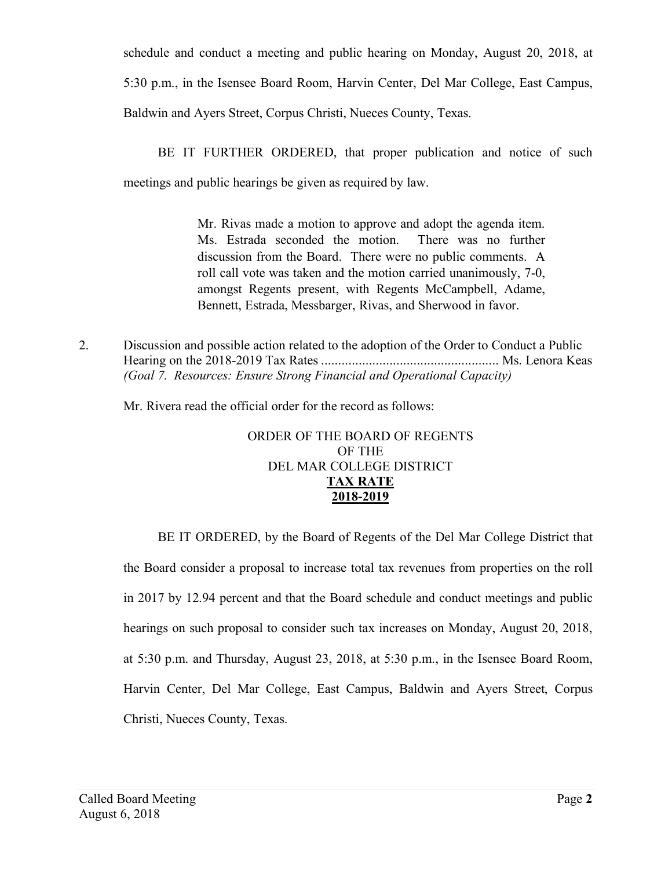schedule and conduct a meeting and public hearing on Monday, August 20, 2018, at 5:30 p.m., in the Isensee Board Room, Harvin Center, Del Mar College, East Campus, Baldwin and Ayers Street, Corpus Christi, Nueces County, Texas.

 meetings and public hearings be given as required by law. BE IT FURTHER ORDERED, that proper publication and notice of such

> Mr. Rivas made a motion to approve and adopt the agenda item. Ms. Estrada seconded the motion. There was no further discussion from the Board. There were no public comments. A roll call vote was taken and the motion carried unanimously, 7-0, amongst Regents present, with Regents McCampbell, Adame, Bennett, Estrada, Messbarger, Rivas, and Sherwood in favor.

 2. Discussion and possible action related to the adoption of the Order to Conduct a Public Hearing on the 2018-2019 Tax Rates .................................................... Ms. Lenora Keas  *(Goal 7. Resources: Ensure Strong Financial and Operational Capacity)* 

Mr. Rivera read the official order for the record as follows:

## ORDER OF THE BOARD OF REGENTS OF THE DEL MAR COLLEGE DISTRICT **TAX RATE 2018-2019**

 the Board consider a proposal to increase total tax revenues from properties on the roll in 2017 by 12.94 percent and that the Board schedule and conduct meetings and public hearings on such proposal to consider such tax increases on Monday, August 20, 2018, at 5:30 p.m. and Thursday, August 23, 2018, at 5:30 p.m., in the Isensee Board Room, Harvin Center, Del Mar College, East Campus, Baldwin and Ayers Street, Corpus Christi, Nueces County, Texas. BE IT ORDERED, by the Board of Regents of the Del Mar College District that